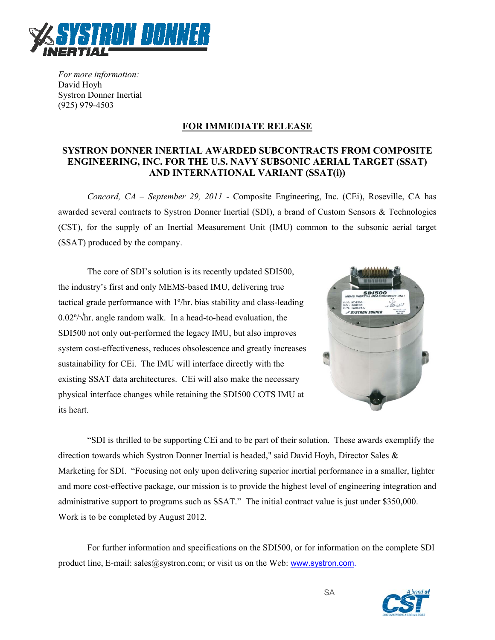

For more information: David Hoyh **Systron Donner Inertial**  $(925)$  979-4503

# **FOR IMMEDIATE RELEASE**

## SYSTRON DONNER INERTIAL AWARDED SUBCONTRACTS FROM COMPOSITE **ENGINEERING, INC. FOR THE U.S. NAVY SUBSONIC AERIAL TARGET (SSAT)** AND INTERNATIONAL VARIANT (SSAT(i))

Concord,  $CA$  – September 29, 2011 - Composite Engineering, Inc. (CEi), Roseville, CA has awarded several contracts to Systron Donner Inertial (SDI), a brand of Custom Sensors & Technologies (CST), for the supply of an Inertial Measurement Unit (IMU) common to the subsonic aerial target (SSAT) produced by the company.

The core of SDI's solution is its recently updated SDI500, the industry's first and only MEMS-based IMU, delivering true tactical grade performance with 1<sup>o</sup>/hr. bias stability and class-leading  $0.02\frac{\degree}{\sqrt{2}}$  hr. angle random walk. In a head-to-head evaluation, the SDI500 not only out-performed the legacy IMU, but also improves system cost-effectiveness, reduces obsolescence and greatly increases sustainability for CEi. The IMU will interface directly with the existing SSAT data architectures. CEi will also make the necessary physical interface changes while retaining the SDI500 COTS IMU at its heart.



"SDI is thrilled to be supporting CE and to be part of their solution. These awards exemplify the direction towards which Systron Donner Inertial is headed," said David Hoyh, Director Sales & Marketing for SDI. "Focusing not only upon delivering superior inertial performance in a smaller, lighter and more cost-effective package, our mission is to provide the highest level of engineering integration and administrative support to programs such as SSAT." The initial contract value is just under \$350,000. Work is to be completed by August 2012.

For further information and specifications on the SDI500, or for information on the complete SDI product line, E-mail: sales  $@$ systron.com; or visit us on the Web: www.systron.com.